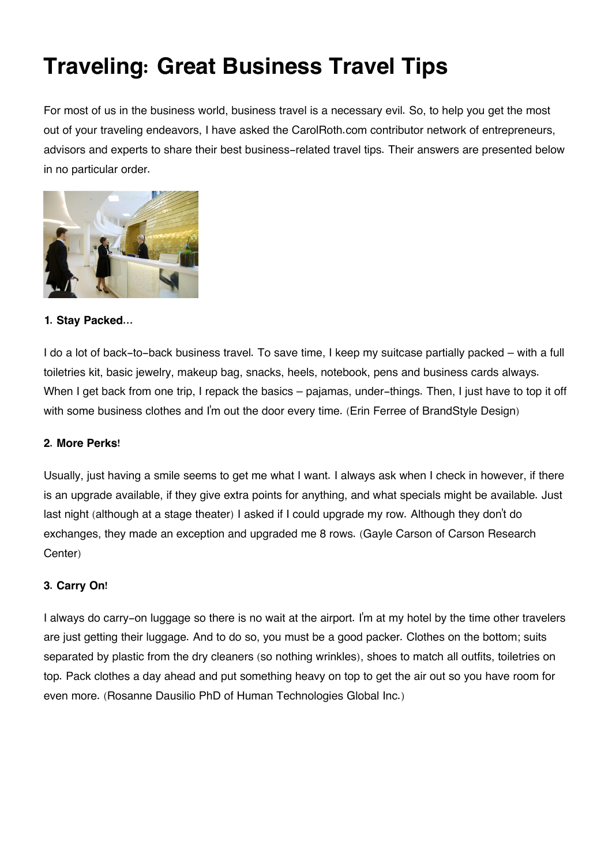# **Traveling: Great Business Travel Tips**

For most of us in the business world, business travel is a necessary evil. So, to help you get the most out of your traveling endeavors, I have asked the CarolRoth.com contributor network of entrepreneurs, advisors and experts to share their best business-related travel tips. Their answers are presented below in no particular order.



# **1. Stay Packed...**

I do a lot of back-to-back business travel. To save time, I keep my suitcase partially packed – with a full toiletries kit, basic jewelry, makeup bag, snacks, heels, notebook, pens and business cards always. When I get back from one trip, I repack the basics – pajamas, under-things. Then, I just have to top it off with some business clothes and I'm out the door every time. (Erin Ferree of BrandStyle Design)

#### **2. More Perks!**

Usually, just having a smile seems to get me what I want. I always ask when I check in however, if there is an upgrade available, if they give extra points for anything, and what specials might be available. Just last night (although at a stage theater) I asked if I could upgrade my row. Although they don't do exchanges, they made an exception and upgraded me 8 rows. (Gayle Carson of Carson Research Center)

# **3. Carry On!**

I always do carry-on luggage so there is no wait at the airport. I'm at my hotel by the time other travelers are just getting their luggage. And to do so, you must be a good packer. Clothes on the bottom; suits separated by plastic from the dry cleaners (so nothing wrinkles), shoes to match all outfits, toiletries on top. Pack clothes a day ahead and put something heavy on top to get the air out so you have room for even more. (Rosanne Dausilio PhD of Human Technologies Global Inc.)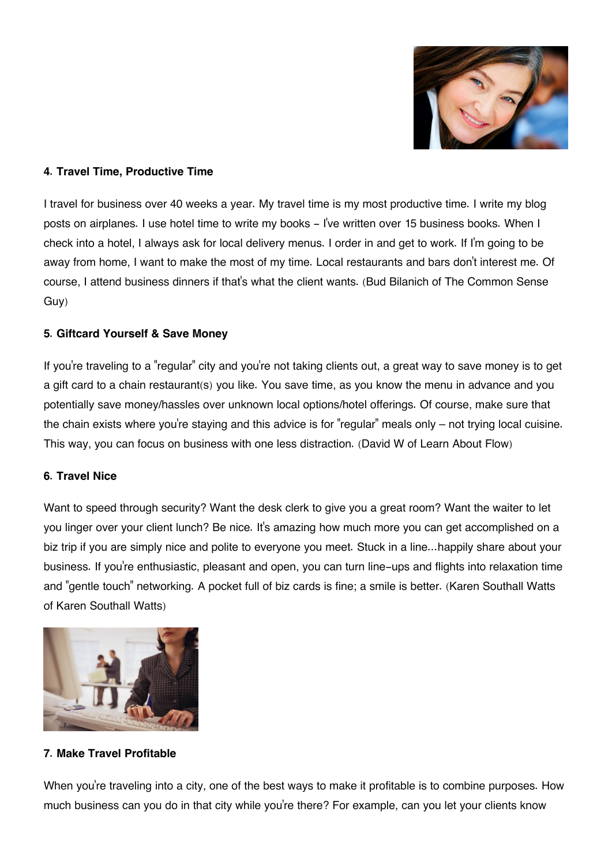

### **4. Travel Time, Productive Time**

I travel for business over 40 weeks a year. My travel time is my most productive time. I write my blog posts on airplanes. I use hotel time to write my books - I've written over 15 business books. When I check into a hotel, I always ask for local delivery menus. I order in and get to work. If I'm going to be away from home, I want to make the most of my time. Local restaurants and bars don't interest me. Of course, I attend business dinners if that's what the client wants. (Bud Bilanich of The Common Sense Guy)

## **5. Giftcard Yourself & Save Money**

If you're traveling to a "regular" city and you're not taking clients out, a great way to save money is to get a gift card to a chain restaurant(s) you like. You save time, as you know the menu in advance and you potentially save money/hassles over unknown local options/hotel offerings. Of course, make sure that the chain exists where you're staying and this advice is for "regular" meals only  $-$  not trying local cuisine. This way, you can focus on business with one less distraction. (David W of Learn About Flow)

#### **6. Travel Nice**

Want to speed through security? Want the desk clerk to give you a great room? Want the waiter to let you linger over your client lunch? Be nice. It's amazing how much more you can get accomplished on a biz trip if you are simply nice and polite to everyone you meet. Stuck in a line...happily share about your business. If you're enthusiastic, pleasant and open, you can turn line-ups and flights into relaxation time and "gentle touch" networking. A pocket full of biz cards is fine; a smile is better. (Karen Southall Watts of Karen Southall Watts)



# **7. Make Travel Profitable**

When you're traveling into a city, one of the best ways to make it profitable is to combine purposes. How much business can you do in that city while you're there? For example, can you let your clients know